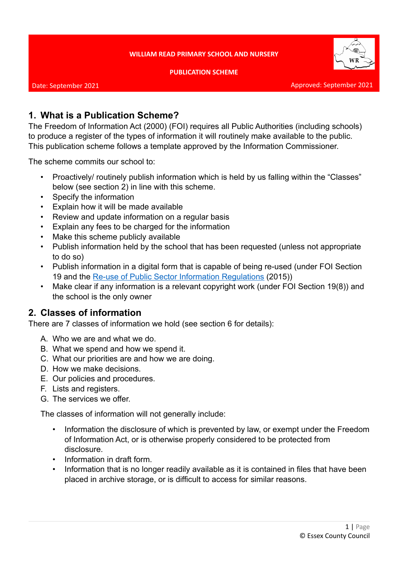#### **WILLIAM READ PRIMARY SCHOOL AND NURSERY**

**PUBLICATION SCHEME**



# **1. What is a Publication Scheme?**

The Freedom of Information Act (2000) (FOI) requires all Public Authorities (including schools) to produce a register of the types of information it will routinely make available to the public. This publication scheme follows a template approved by the Information Commissioner.

The scheme commits our school to:

- Proactively/ routinely publish information which is held by us falling within the "Classes" below (see section 2) in line with this scheme.
- Specify the information
- Explain how it will be made available
- Review and update information on a regular basis
- Explain any fees to be charged for the information
- Make this scheme publicly available
- Publish information held by the school that has been requested (unless not appropriate to do so)
- Publish information in a digital form that is capable of being re-used (under FOI Section 19 and the [Re-use of Public Sector Information Regulations](http://www.legislation.gov.uk/uksi/2015/1415/contents/made) (2015))
- Make clear if any information is a relevant copyright work (under FOI Section 19(8)) and the school is the only owner

# **2. Classes of information**

There are 7 classes of information we hold (see section 6 for details):

- A. Who we are and what we do.
- B. What we spend and how we spend it.
- C. What our priorities are and how we are doing.
- D. How we make decisions.
- E. Our policies and procedures.
- F. Lists and registers.
- G. The services we offer.

The classes of information will not generally include:

- Information the disclosure of which is prevented by law, or exempt under the Freedom of Information Act, or is otherwise properly considered to be protected from disclosure.
- Information in draft form.
- Information that is no longer readily available as it is contained in files that have been placed in archive storage, or is difficult to access for similar reasons.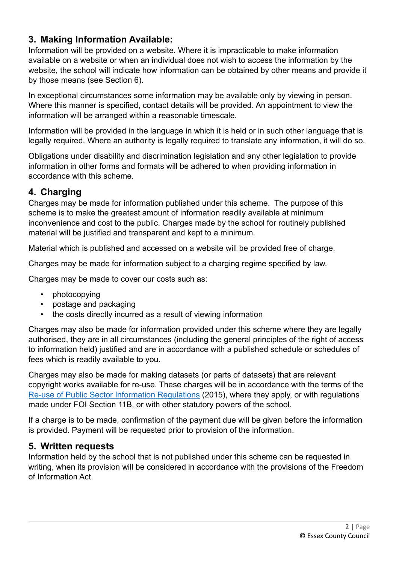# **3. Making Information Available:**

Information will be provided on a website. Where it is impracticable to make information available on a website or when an individual does not wish to access the information by the website, the school will indicate how information can be obtained by other means and provide it by those means (see Section 6).

In exceptional circumstances some information may be available only by viewing in person. Where this manner is specified, contact details will be provided. An appointment to view the information will be arranged within a reasonable timescale.

Information will be provided in the language in which it is held or in such other language that is legally required. Where an authority is legally required to translate any information, it will do so.

Obligations under disability and discrimination legislation and any other legislation to provide information in other forms and formats will be adhered to when providing information in accordance with this scheme.

# **4. Charging**

Charges may be made for information published under this scheme. The purpose of this scheme is to make the greatest amount of information readily available at minimum inconvenience and cost to the public. Charges made by the school for routinely published material will be justified and transparent and kept to a minimum.

Material which is published and accessed on a website will be provided free of charge.

Charges may be made for information subject to a charging regime specified by law.

Charges may be made to cover our costs such as:

- photocopying
- postage and packaging
- the costs directly incurred as a result of viewing information

Charges may also be made for information provided under this scheme where they are legally authorised, they are in all circumstances (including the general principles of the right of access to information held) justified and are in accordance with a published schedule or schedules of fees which is readily available to you.

Charges may also be made for making datasets (or parts of datasets) that are relevant copyright works available for re-use. These charges will be in accordance with the terms of the [Re-use of Public Sector Information Regulations](http://www.legislation.gov.uk/uksi/2015/1415/contents/made) (2015), where they apply, or with regulations made under FOI Section 11B, or with other statutory powers of the school.

If a charge is to be made, confirmation of the payment due will be given before the information is provided. Payment will be requested prior to provision of the information.

## **5. Written requests**

Information held by the school that is not published under this scheme can be requested in writing, when its provision will be considered in accordance with the provisions of the Freedom of Information Act.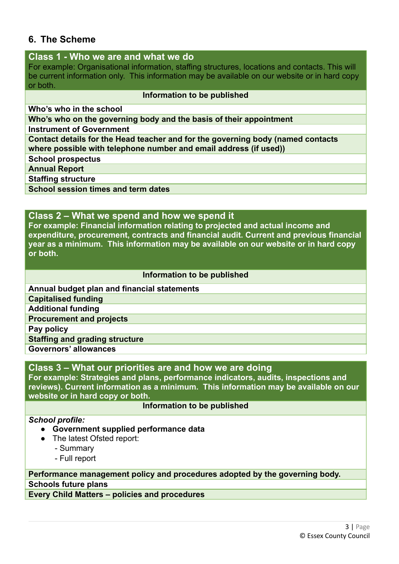## **6. The Scheme**

## **Class 1 - Who we are and what we do**

For example: Organisational information, staffing structures, locations and contacts. This will be current information only. This information may be available on our website or in hard copy or both.

### **Information to be published**

**Who's who in the school**

**Who's who on the governing body and the basis of their appointment**

**Instrument of Government**

**Contact details for the Head teacher and for the governing body (named contacts where possible with telephone number and email address (if used))**

**School prospectus**

**Annual Report**

**Staffing structure**

**School session times and term dates**

## **Class 2 – What we spend and how we spend it**

**For example: Financial information relating to projected and actual income and expenditure, procurement, contracts and financial audit. Current and previous financial year as a minimum. This information may be available on our website or in hard copy or both.**

### **Information to be published**

**Annual budget plan and financial statements Capitalised funding Additional funding Procurement and projects Pay policy Staffing and grading structure**

**Governors' allowances**

## **Class 3 – What our priorities are and how we are doing**

**For example: Strategies and plans, performance indicators, audits, inspections and reviews). Current information as a minimum. This information may be available on our website or in hard copy or both.**

## **Information to be published**

## *School profile:*

- **● Government supplied performance data**
- **●** The latest Ofsted report:
	- Summary
	- Full report

## **Performance management policy and procedures adopted by the governing body. Schools future plans**

**Every Child Matters – policies and procedures**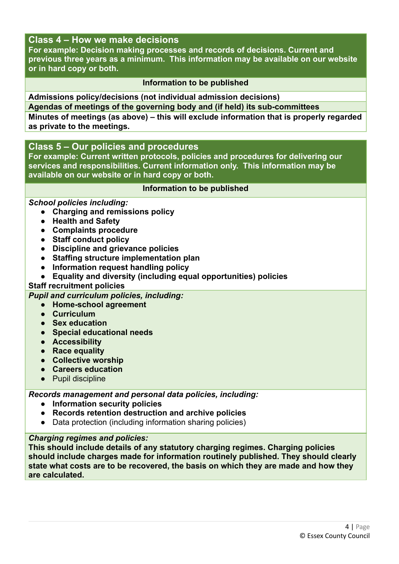## **Class 4 – How we make decisions**

**For example: Decision making processes and records of decisions. Current and previous three years as a minimum. This information may be available on our website or in hard copy or both.**

### **Information to be published**

**Admissions policy/decisions (not individual admission decisions) Agendas of meetings of the governing body and (if held) its sub-committees Minutes of meetings (as above) – this will exclude information that is properly regarded as private to the meetings.**

## **Class 5 – Our policies and procedures**

**For example: Current written protocols, policies and procedures for delivering our services and responsibilities. Current information only. This information may be available on our website or in hard copy or both.**

### **Information to be published**

### *School policies including:*

- **● Charging and remissions policy**
- **● Health and Safety**
- **● Complaints procedure**
- **● Staff conduct policy**
- **● Discipline and grievance policies**
- **● Staffing structure implementation plan**
- **● Information request handling policy**
- **● Equality and diversity (including equal opportunities) policies**

## **Staff recruitment policies**

*Pupil and curriculum policies, including:*

- **● Home-school agreement**
- **● Curriculum**
- **● Sex education**
- **● Special educational needs**
- **● Accessibility**
- **● Race equality**
- **● Collective worship**
- **● Careers education**
- **●** Pupil discipline

*Records management and personal data policies, including:*

- **● Information security policies**
- **● Records retention destruction and archive policies**
- **●** Data protection (including information sharing policies)

## *Charging regimes and policies:*

**This should include details of any statutory charging regimes. Charging policies should include charges made for information routinely published. They should clearly state what costs are to be recovered, the basis on which they are made and how they are calculated.**